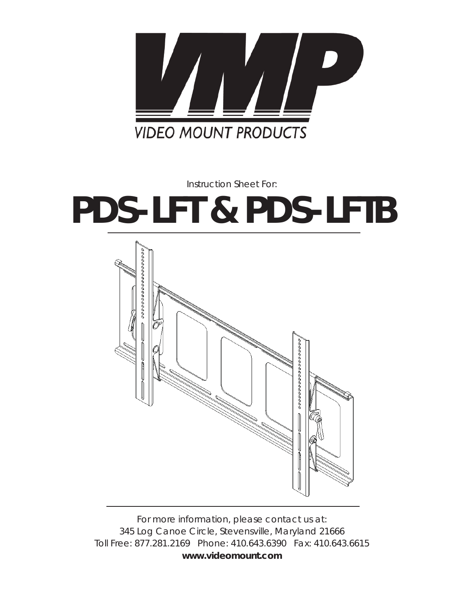

*Instruction Sheet For:*

# **PDS-LFT & PDS-LFTB**



*For more information, please contact us at: 345 Log Canoe Circle, Stevensville, Maryland 21666 Toll Free: 877.281.2169 Phone: 410.643.6390 Fax: 410.643.6615* **www.videomount.com**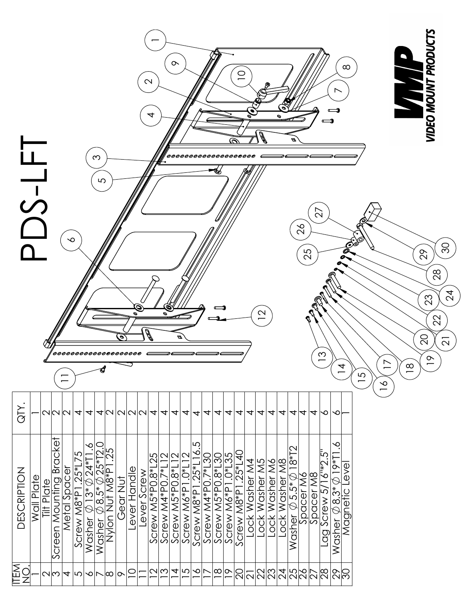|                    | ๛<br>∞<br>Q<br>$\mathbf{\Omega}$<br><i>000000000000000000</i><br>Ω<br>5<br>$\overline{\mathsf{N}}$<br>$\overline{26}$<br>∾<br>Ø<br>25<br>⊂<br>$\mathbf 2$<br>Ø<br>Θ<br><b>A</b><br>ø.<br>Ð<br>ო<br>$\overline{4}$<br>51 |            |                                  |                     |                                |                                                            |                                                                     |                                   |                |              |             |                           |                                   |                                            |                                                     | $\overline{1}$<br>$\frac{8}{1}$ | $\frac{8}{1}$     | 29<br>$\infty$       | <b>VIDEO MOUNT PRODU</b><br>88<br>23<br>22<br>$\frac{\infty}{\infty}$ | ္က<br>$\overline{2}$<br>$\overline{\mathcal{L}}$ |                |                |                |                          |                                                                          |             |           |                                    |                                                                      |                   |  |  |  |  |  |  |  |
|--------------------|-------------------------------------------------------------------------------------------------------------------------------------------------------------------------------------------------------------------------|------------|----------------------------------|---------------------|--------------------------------|------------------------------------------------------------|---------------------------------------------------------------------|-----------------------------------|----------------|--------------|-------------|---------------------------|-----------------------------------|--------------------------------------------|-----------------------------------------------------|---------------------------------|-------------------|----------------------|-----------------------------------------------------------------------|--------------------------------------------------|----------------|----------------|----------------|--------------------------|--------------------------------------------------------------------------|-------------|-----------|------------------------------------|----------------------------------------------------------------------|-------------------|--|--|--|--|--|--|--|
| QTY.               |                                                                                                                                                                                                                         |            | NNN                              |                     | $\vert \bm{\tau} \vert$        | $\overline{ }$                                             |                                                                     |                                   |                |              |             | 4 U U U U 4 4             |                                   | $\overline{\blacktriangledown}$            | $\overline{4}$                                      | $\overline{\phantom{a}}$        | $\overline{4}$    | 4                    | 4                                                                     | 4                                                | 4              | 4              | 4              | $\overline{\mathcal{A}}$ | 4                                                                        | 4           | 4         | $\infty$                           | $\infty$                                                             |                   |  |  |  |  |  |  |  |
| <b>DESCRIPTION</b> | Plate<br>Wall                                                                                                                                                                                                           | Tilt Plate | <b>Bracke</b><br>Screen Mounting | Metal Spacer        | ŕΟ.<br>$.25*17.$<br>Screw M8*P | $\infty$<br>$11*72$<br>$\lozenge$ 13* $\lozenge$<br>Washer | Q<br>$\overline{\oslash}$ 8.5* $\overline{\oslash}$ 25*T2<br>Washer | $\overline{25}$<br>Nvlon Nut M8*P | <b>SearNut</b> | Lever Handle | Lever Screw | 25<br>Screw M5*P0.8*      | $\mathbf{\sim}$<br>Screw M4*P0.7* | $\overline{\mathsf{C}}$<br>Screw M5*P0.8*L | $\lvert\mathsf{C}\rvert$<br>Screw M6*P1.0*L         | Γ.<br>Screw $M8*P1.25*L16$      | Screw M4*P0.7*L30 | Screw M5*P0.8*L30    | $-0*135$<br>Screw M6*P1                                               | $.25*140$<br>Screw M8*P1                         | Lock Washer M4 | Lock Washer M5 | Lock Washer M6 |                          | $\frac{\text{Lock Western}}{\text{Washer}~\emptyset~5.5^*\oslash18^*72}$ | Spacer M6   | Spacer M8 | ني<br>$16^{14}$<br>Screw $5$<br>DO | ∾<br>$\mathsf{L}{*}\mathsf{cl} \ \oslash$<br>Washer $\emptyset$ 8.3* | Level<br>Magnetic |  |  |  |  |  |  |  |
| ΕŃ                 |                                                                                                                                                                                                                         | NM         |                                  | $\overline{\bm{v}}$ | ျပာ                            | $\frac{1}{2}$                                              |                                                                     | $\infty$                          | ⊳              | $\supseteq$  |             | $ \mathsf{C} \mathsf{C} $ |                                   |                                            | $ \mathcal{A} $ r $ \mathcal{A} $ r $ \mathcal{A} $ |                                 |                   | $\frac{ \infty }{2}$ |                                                                       |                                                  |                |                |                |                          |                                                                          | 82824562896 |           |                                    |                                                                      |                   |  |  |  |  |  |  |  |